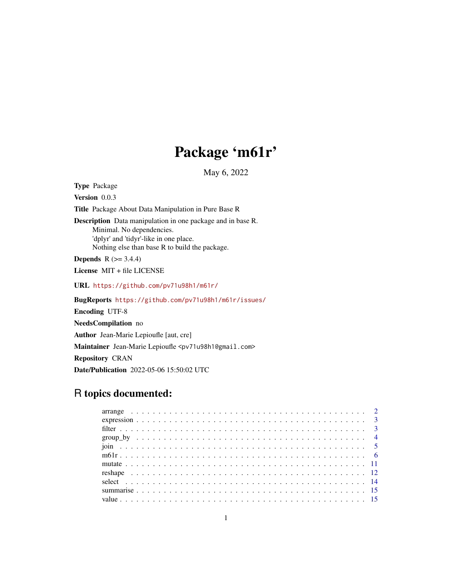# Package 'm61r'

May 6, 2022

Type Package Version 0.0.3 Title Package About Data Manipulation in Pure Base R Description Data manipulation in one package and in base R. Minimal. No dependencies. 'dplyr' and 'tidyr'-like in one place. Nothing else than base R to build the package. **Depends**  $R$  ( $>= 3.4.4$ ) License MIT + file LICENSE URL <https://github.com/pv71u98h1/m61r/> BugReports <https://github.com/pv71u98h1/m61r/issues/> Encoding UTF-8

NeedsCompilation no Author Jean-Marie Lepioufle [aut, cre] Maintainer Jean-Marie Lepioufle <pv71u98h1@gmail.com> Repository CRAN Date/Publication 2022-05-06 15:50:02 UTC

# R topics documented: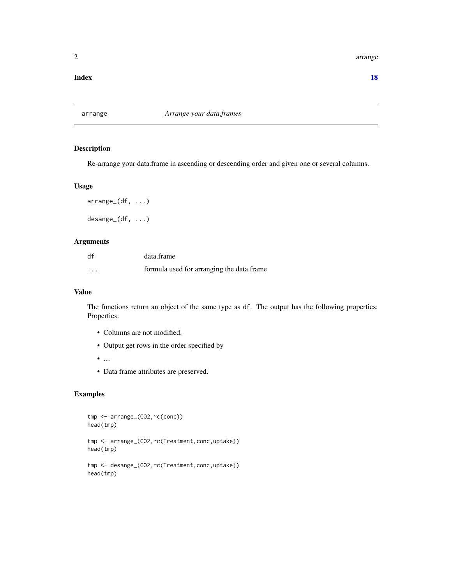<span id="page-1-0"></span>2 arrangement of the control of the control of the control of the control of the control of the control of the control of the control of the control of the control of the control of the control of the control of the contro

#### **Index** 2008 **[18](#page-17-0)**

arrange *Arrange your data.frames*

# Description

Re-arrange your data.frame in ascending or descending order and given one or several columns.

# Usage

arrange\_(df, ...) desange\_(df, ...)

# Arguments

| df       | data.frame                                |
|----------|-------------------------------------------|
| $\cdots$ | formula used for arranging the data.frame |

# Value

The functions return an object of the same type as df. The output has the following properties: Properties:

- Columns are not modified.
- Output get rows in the order specified by
- $\bullet$   $\ldots$
- Data frame attributes are preserved.

```
tmp <- arrange_(CO2,~c(conc))
head(tmp)
tmp <- arrange_(CO2,~c(Treatment,conc,uptake))
head(tmp)
tmp <- desange_(CO2,~c(Treatment,conc,uptake))
head(tmp)
```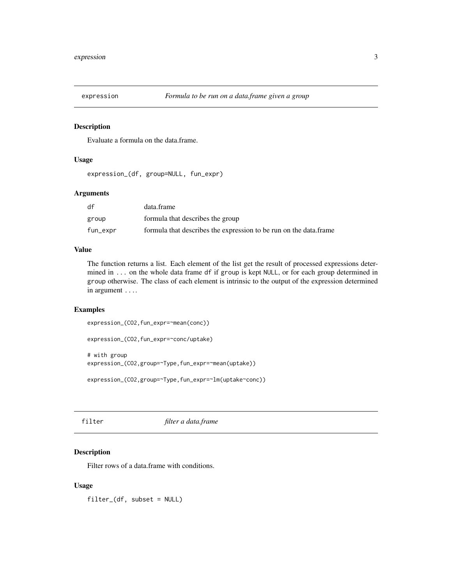<span id="page-2-0"></span>

# Description

Evaluate a formula on the data.frame.

#### Usage

```
expression_(df, group=NULL, fun_expr)
```
# Arguments

| df       | data.frame                                                        |
|----------|-------------------------------------------------------------------|
| group    | formula that describes the group                                  |
| fun_expr | formula that describes the expression to be run on the data.frame |

# Value

The function returns a list. Each element of the list get the result of processed expressions determined in ... on the whole data frame df if group is kept NULL, or for each group determined in group otherwise. The class of each element is intrinsic to the output of the expression determined in argument ....

#### Examples

```
expression_(CO2,fun_expr=~mean(conc))
```

```
expression_(CO2,fun_expr=~conc/uptake)
```
# with group expression\_(CO2,group=~Type,fun\_expr=~mean(uptake))

expression\_(CO2,group=~Type,fun\_expr=~lm(uptake~conc))

filter *filter a data.frame*

# Description

Filter rows of a data.frame with conditions.

### Usage

filter\_(df, subset = NULL)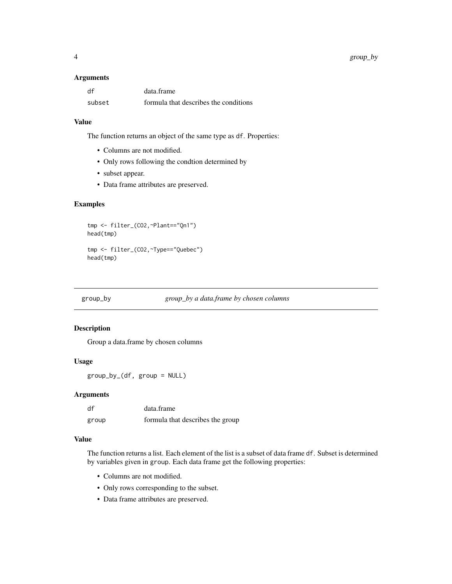#### <span id="page-3-0"></span>Arguments

| df     | data.frame                            |
|--------|---------------------------------------|
| subset | formula that describes the conditions |

# Value

The function returns an object of the same type as df. Properties:

- Columns are not modified.
- Only rows following the condtion determined by
- subset appear.
- Data frame attributes are preserved.

# Examples

tmp <- filter\_(CO2,~Plant=="Qn1") head(tmp) tmp <- filter\_(CO2,~Type=="Quebec") head(tmp)

group\_by *group\_by a data.frame by chosen columns*

# Description

Group a data.frame by chosen columns

# Usage

group\_by\_(df, group = NULL)

### Arguments

| df    | data.frame                       |
|-------|----------------------------------|
| group | formula that describes the group |

#### Value

The function returns a list. Each element of the list is a subset of data frame df. Subset is determined by variables given in group. Each data frame get the following properties:

- Columns are not modified.
- Only rows corresponding to the subset.
- Data frame attributes are preserved.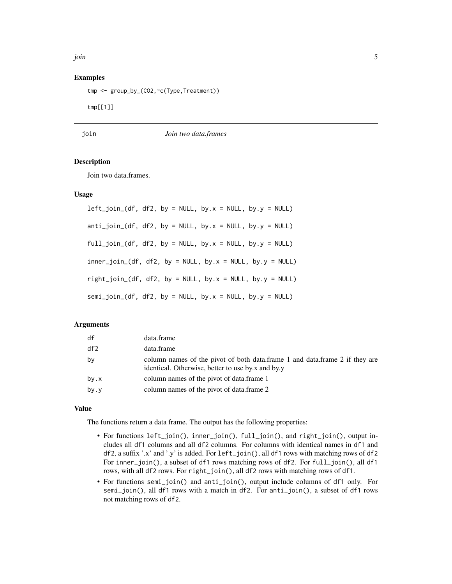<span id="page-4-0"></span>join 5

# Examples

```
tmp <- group_by_(CO2,~c(Type,Treatment))
```
tmp[[1]]

join *Join two data.frames*

# Description

Join two data.frames.

# Usage

| left_join_(df, df2, by = NULL, by.x = NULL, by.y = NULL)     |
|--------------------------------------------------------------|
| $anti\_join_(df, df2, by = NULL, by.x = NULL, by.y = NULL)$  |
| full_join_(df, df2, by = NULL, by.x = NULL, by.y = NULL)     |
| $inner\_join_{df, df2, by = NULL, by.x = NULL, by.y = NULL)$ |
| right_join_(df, df2, by = NULL, by.x = NULL, by.y = NULL)    |
| semi_join_(df, df2, by = NULL, by.x = NULL, by.y = NULL)     |

#### Arguments

| df   | data.frame                                                                                                                       |
|------|----------------------------------------------------------------------------------------------------------------------------------|
| df2  | data.frame                                                                                                                       |
| by   | column names of the pivot of both data.frame 1 and data.frame 2 if they are<br>identical. Otherwise, better to use by x and by y |
| by.x | column names of the pivot of data.frame 1                                                                                        |
| by.y | column names of the pivot of data.frame 2                                                                                        |

#### Value

The functions return a data frame. The output has the following properties:

- For functions left\_join(), inner\_join(), full\_join(), and right\_join(), output includes all df1 columns and all df2 columns. For columns with identical names in df1 and df2, a suffix '.x' and '.y' is added. For left\_join(), all df1 rows with matching rows of df2 For inner\_join(), a subset of df1 rows matching rows of df2. For full\_join(), all df1 rows, with all df2 rows. For right\_join(), all df2 rows with matching rows of df1.
- For functions semi\_join() and anti\_join(), output include columns of df1 only. For semi\_join(), all df1 rows with a match in df2. For anti\_join(), a subset of df1 rows not matching rows of df2.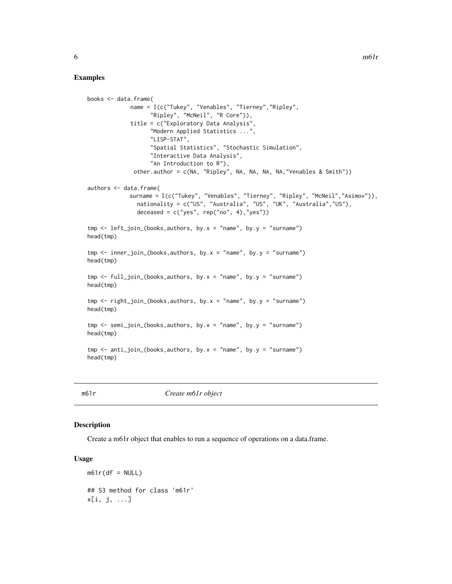#### <span id="page-5-0"></span>Examples

```
books <- data.frame(
             name = I(c("Tukey", "Venables", "Tierney","Ripley",
                    "Ripley", "McNeil", "R Core")),
             title = c("Exploratory Data Analysis",
                    "Modern Applied Statistics ...",
                    "LISP-STAT",
                    "Spatial Statistics", "Stochastic Simulation",
                    "Interactive Data Analysis",
                    "An Introduction to R"),
              other.author = c(NA, "Ripley", NA, NA, NA, NA,"Venables & Smith"))
authors <- data.frame(
             surname = I(c("Tukey", "Venables", "Tierney", "Ripley", "McNeil","Asimov")),
               nationality = c("US", "Australia", "US", "UK", "Australia","US"),
               deceased = c("yes", rep("no", 4), "yes"))tmp \leftarrow left\_join_{\odot} (books, authors, by.x = "name", by.y = "sumnew")head(tmp)
tmp \leq inner\_join_{books, authors, by.x = "name", by.y = "sumnew")head(tmp)
tmp \leftarrow full\_join_{books, authors, by.x = "name", by.y = "surname")head(tmp)
tmp \leftarrow right\_join_{oboks, authors, by.x = "name", by.y = "surname")head(tmp)
tmp \le semi_join_(books,authors, by.x = "name", by.y = "surname")
head(tmp)
tmp \leftarrow anti\_join_{books, authors, by.x = "name", by.y = "surname")head(tmp)
```
m61r *Create m61r object*

# Description

Create a m61r object that enables to run a sequence of operations on a data.frame.

#### Usage

 $m61r(df = NULL)$ ## S3 method for class 'm61r' x[i, j, ...]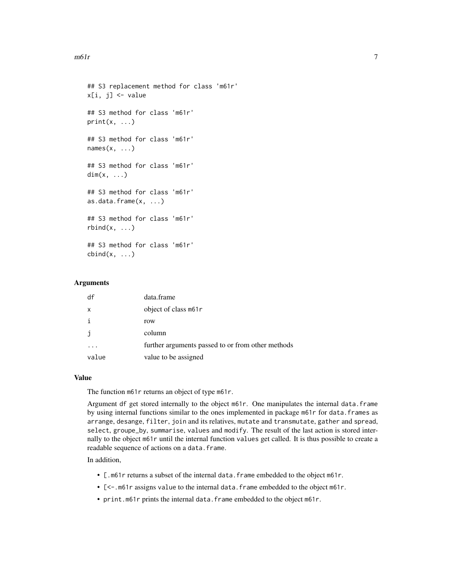```
## S3 replacement method for class 'm61r'
x[i, i] <- value
## S3 method for class 'm61r'
print(x, \ldots)## S3 method for class 'm61r'
names(x, \ldots)## S3 method for class 'm61r'
dim(x, \ldots)## S3 method for class 'm61r'
as.data.frame(x, ...)
## S3 method for class 'm61r'
rbind(x, \ldots)## S3 method for class 'm61r'
cbind(x, \ldots)
```
# Arguments

| df    | data.frame                                        |
|-------|---------------------------------------------------|
| X     | object of class m61r                              |
|       | row                                               |
| j.    | column                                            |
|       | further arguments passed to or from other methods |
| value | value to be assigned                              |

#### Value

The function m61r returns an object of type m61r.

Argument df get stored internally to the object m61r. One manipulates the internal data.frame by using internal functions similar to the ones implemented in package m61r for data.frames as arrange, desange, filter, join and its relatives, mutate and transmutate, gather and spread, select, groupe\_by, summarise, values and modify. The result of the last action is stored internally to the object m61r until the internal function values get called. It is thus possible to create a readable sequence of actions on a data.frame.

In addition,

- [.m61r returns a subset of the internal data.frame embedded to the object m61r.
- [<-. m61r assigns value to the internal data. frame embedded to the object m61r.
- print.m61r prints the internal data.frame embedded to the object m61r.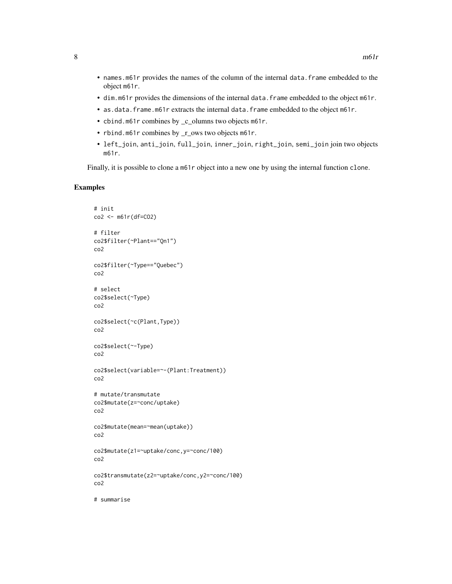- names.m61r provides the names of the column of the internal data.frame embedded to the object m61r.
- dim.m61r provides the dimensions of the internal data.frame embedded to the object m61r.
- as.data.frame.m61r extracts the internal data.frame embedded to the object m61r.
- cbind.m61r combines by \_c\_olumns two objects m61r.
- rbind.m61r combines by  $r_{\text{c}}$  ows two objects m61r.
- left\_join, anti\_join, full\_join, inner\_join, right\_join, semi\_join join two objects m61r.

Finally, it is possible to clone a m61r object into a new one by using the internal function clone.

```
# init
co2 <- m61r(df=CO2)
# filter
co2$filter(~Plant=="Qn1")
co2
co2$filter(~Type=="Quebec")
co2
# select
co2$select(~Type)
co2
co2$select(~c(Plant,Type))
co2
co2$select(~-Type)
co2
co2$select(variable=~-(Plant:Treatment))
co2
# mutate/transmutate
co2$mutate(z=~conc/uptake)
co2
co2$mutate(mean=~mean(uptake))
co2
co2$mutate(z1=~uptake/conc,y=~conc/100)
co2
co2$transmutate(z2=~uptake/conc,y2=~conc/100)
co2
# summarise
```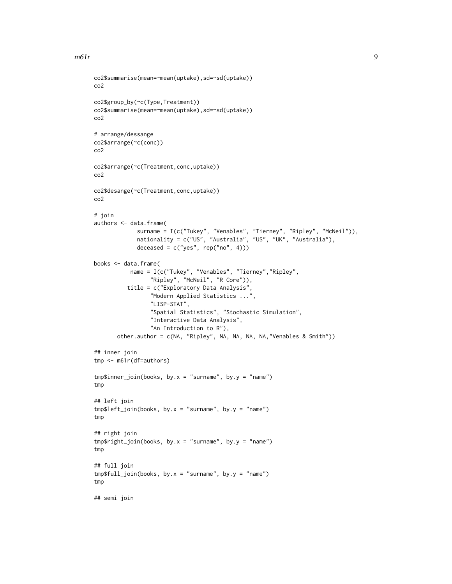#### $m61r$  9

```
co2$summarise(mean=~mean(uptake),sd=~sd(uptake))
co2
co2$group_by(~c(Type,Treatment))
co2$summarise(mean=~mean(uptake),sd=~sd(uptake))
co2
# arrange/dessange
co2$arrange(~c(conc))
co2
co2$arrange(~c(Treatment,conc,uptake))
co2
co2$desange(~c(Treatment,conc,uptake))
co2
# join
authors <- data.frame(
             surname = I(c("Tukey", "Venables", "Tierney", "Ripley", "McNeil")),
             nationality = c("US", "Australia", "US", "UK", "Australia"),
             deceased = c("yes", rep("no", 4)))books <- data.frame(
           name = I(c("Tukey", "Venables", "Tierney","Ripley",
                 "Ripley", "McNeil", "R Core")),
          title = c("Exploratory Data Analysis",
                 "Modern Applied Statistics ...",
                 "LISP-STAT",
                 "Spatial Statistics", "Stochastic Simulation",
                 "Interactive Data Analysis",
                 "An Introduction to R"),
       other.author = c(NA, "Ripley", NA, NA, NA, NA,"Venables & Smith"))
## inner join
tmp <- m61r(df=authors)
tmp$inner\_join(books, by.x = "surname", by.y = "name")tmp
## left join
tmp$left_join(books, by.x = "surname", by.y = "name")
tmp
## right join
tmp$right\_join(books, by.x = "surname", by.y = "name")tmp
## full join
tmp$full\_join(books, by.x = "surname", by.y = "name")tmp
## semi join
```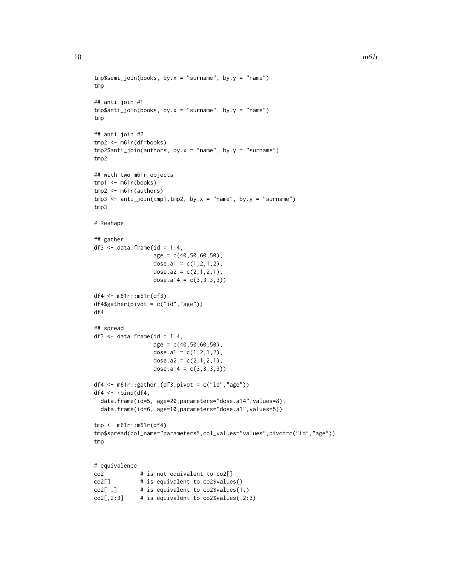```
tmp$semi\_join(books, by.x = "surname", by.y = "name")tmp
## anti join #1
tmp$anti\_join(books, by.x = "surname", by.y = "name")tmp
## anti join #2
tmp2 <- m61r(df=books)
tmp2$anti\_join(authors, by.x = "name", by.y = "surname")tmp2
## with two m61r objects
tmp1 < - m61r(books)tmp2 <- m61r(authors)
tmp3 < - anti\_join(tmp1, tmp2, by.x = "name", by.y = "surname")tmp3
# Reshape
## gather
df3 \leq data.frame(id = 1:4,
                 age = c(40,50,60,50),
                  dose.a1 = c(1, 2, 1, 2),
                  dose.a2 = c(2,1,2,1),
                  dose.a14 = c(3,3,3,3))
df4 <- m61r::m61r(df3)
df4$gather(pivot = c("id","age"))
df4
## spread
df3 \leq data.frame(id = 1:4,
                  age = c(40,50,60,50),
                  dose.a1 = c(1, 2, 1, 2),
                  dose.a2 = c(2,1,2,1),
                 dose.a14 = c(3,3,3,3))
df4 <- m61r::gather_{d}f3, pivot = c("id", "age"))df4 <- rbind(df4,
  data.frame(id=5, age=20,parameters="dose.a14", values=8),
  data.frame(id=6, age=10,parameters="dose.a1",values=5))
tmp <- m61r::m61r(df4)
tmp$spread(col_name="parameters",col_values="values",pivot=c("id","age"))
tmp
# equivalence
co2 # is not equivalent to co2[]
co2[] # is equivalent to co2$values()
co2[1,] # is equivalent to co2$values(1,)
co2[,2:3] # is equivalent to co2$values(0,2:3)
```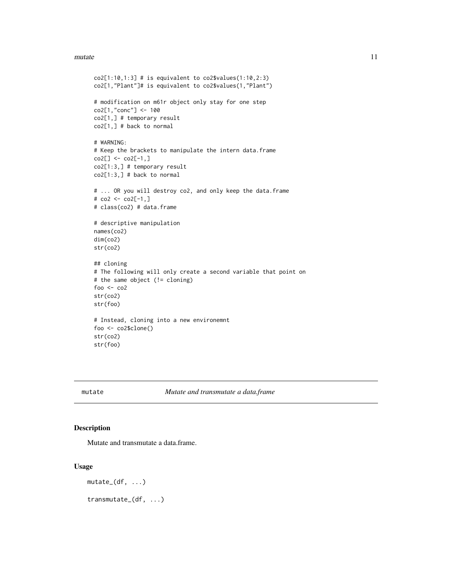#### <span id="page-10-0"></span>mutate the contract of the contract of the contract of the contract of the contract of the contract of the contract of the contract of the contract of the contract of the contract of the contract of the contract of the con

```
co2[1:10,1:3] # is equivalent to co2$values(1:10,2:3)co2[1,"Plant"]# is equivalent to co2$values(1,"Plant")
# modification on m61r object only stay for one step
co2[1,"conc"] <- 100
co2[1,] # temporary result
co2[1,] # back to normal
# WARNING:
# Keep the brackets to manipulate the intern data.frame
co2[] < co2[-1, ]co2[1:3,] # temporary result
co2[1:3,] # back to normal
# ... OR you will destroy co2, and only keep the data.frame
# co2 <- co2[-1,]
# class(co2) # data.frame
# descriptive manipulation
names(co2)
dim(co2)
str(co2)
## cloning
# The following will only create a second variable that point on
# the same object (!= cloning)
foo <- co2
str(co2)
str(foo)
# Instead, cloning into a new environemnt
foo <- co2$clone()
str(co2)
str(foo)
```
mutate *Mutate and transmutate a data.frame*

#### Description

Mutate and transmutate a data.frame.

#### Usage

```
mutate_{d}(f, \ldots)
```
transmutate\_(df, ...)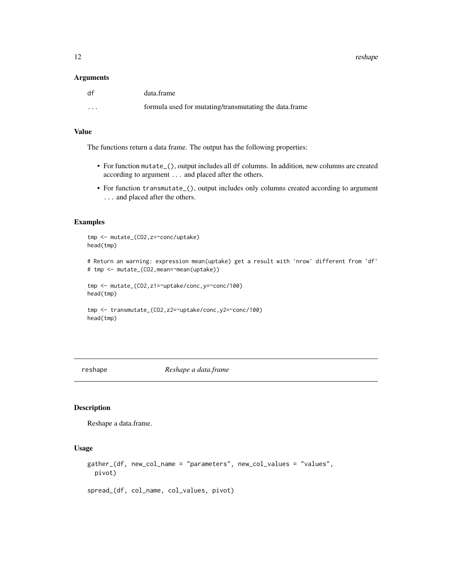<span id="page-11-0"></span>12 reshape

#### Arguments

| df                      | data.frame                                             |
|-------------------------|--------------------------------------------------------|
| $\cdot$ $\cdot$ $\cdot$ | formula used for mutating/transmutating the data.frame |

# Value

The functions return a data frame. The output has the following properties:

- For function mutate\_(), output includes all df columns. In addition, new columns are created according to argument ... and placed after the others.
- For function transmutate\_(), output includes only columns created according to argument ... and placed after the others.

#### Examples

```
tmp <- mutate_(CO2,z=~conc/uptake)
head(tmp)
```

```
# Return an warning: expression mean(uptake) get a result with 'nrow' different from 'df'
# tmp <- mutate_(CO2,mean=~mean(uptake))
```

```
tmp <- mutate_(CO2,z1=~uptake/conc,y=~conc/100)
head(tmp)
```

```
tmp <- transmutate_(CO2,z2=~uptake/conc,y2=~conc/100)
head(tmp)
```
reshape *Reshape a data.frame*

# Description

Reshape a data.frame.

#### Usage

```
gather_(df, new_col_name = "parameters", new_col_values = "values",
 pivot)
```
spread\_(df, col\_name, col\_values, pivot)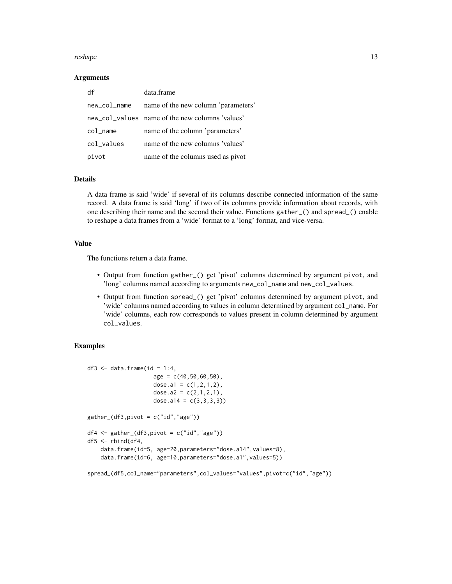#### reshape that the state of the state of the state of the state of the state of the state of the state of the state of the state of the state of the state of the state of the state of the state of the state of the state of t

#### Arguments

| df           | data.frame                                      |
|--------------|-------------------------------------------------|
| new_col_name | name of the new column 'parameters'             |
|              | new_col_values name of the new columns 'values' |
| col name     | name of the column 'parameters'                 |
| col_values   | name of the new columns 'values'                |
| pivot        | name of the columns used as pivot               |

### Details

A data frame is said 'wide' if several of its columns describe connected information of the same record. A data frame is said 'long' if two of its columns provide information about records, with one describing their name and the second their value. Functions gather\_() and spread\_() enable to reshape a data frames from a 'wide' format to a 'long' format, and vice-versa.

#### Value

The functions return a data frame.

- Output from function gather\_() get 'pivot' columns determined by argument pivot, and 'long' columns named according to arguments new\_col\_name and new\_col\_values.
- Output from function spread\_() get 'pivot' columns determined by argument pivot, and 'wide' columns named according to values in column determined by argument col\_name. For 'wide' columns, each row corresponds to values present in column determined by argument col\_values.

```
df3 \leq data.frame(id = 1:4,
                    age = c(40,50,60,50),
                    dose.a1 = c(1,2,1,2),
                    dose.a2 = c(2,1,2,1),
                    dose.a14 = c(3,3,3,3)gather_(df3,pivot = c("id","age"))
df4 <- gather_{d}(df3,pivot = c("id", "age"))
df5 <- rbind(df4,
    data.frame(id=5, age=20,parameters="dose.a14", values=8),
    data.frame(id=6, age=10,parameters="dose.a1",values=5))
spread_(df5,col_name="parameters",col_values="values",pivot=c("id","age"))
```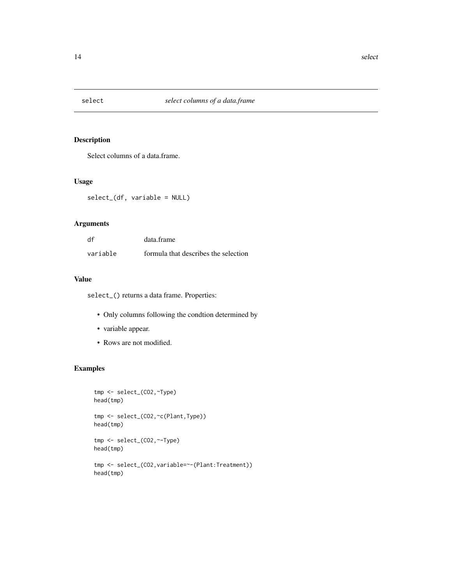<span id="page-13-0"></span>

# Description

Select columns of a data.frame.

# Usage

select\_(df, variable = NULL)

# Arguments

| df       | data.frame                           |
|----------|--------------------------------------|
| variable | formula that describes the selection |

# Value

select\_() returns a data frame. Properties:

- Only columns following the condtion determined by
- variable appear.
- Rows are not modified.

```
tmp <- select_(CO2,~Type)
head(tmp)
tmp <- select_(CO2,~c(Plant,Type))
head(tmp)
tmp <- select_(CO2,~-Type)
head(tmp)
tmp <- select_(CO2,variable=~-(Plant:Treatment))
head(tmp)
```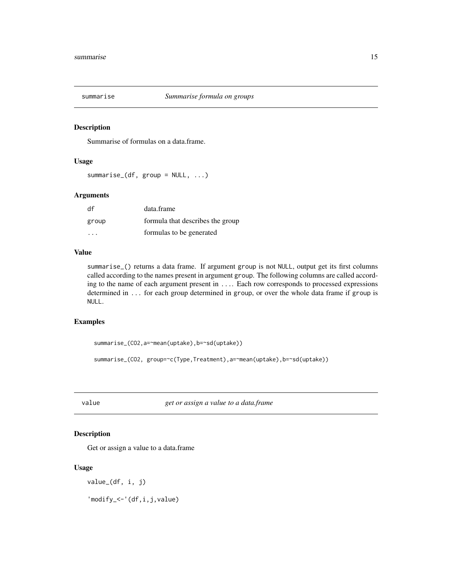<span id="page-14-0"></span>

#### Description

Summarise of formulas on a data.frame.

#### Usage

 $summarise_{d}(df, group = NULL, ...)$ 

# Arguments

| df                      | data.frame                       |
|-------------------------|----------------------------------|
| group                   | formula that describes the group |
| $\cdot$ $\cdot$ $\cdot$ | formulas to be generated         |

# Value

summarise\_() returns a data frame. If argument group is not NULL, output get its first columns called according to the names present in argument group. The following columns are called according to the name of each argument present in .... Each row corresponds to processed expressions determined in ... for each group determined in group, or over the whole data frame if group is NULL.

# Examples

```
summarise_(CO2,a=~mean(uptake),b=~sd(uptake))
```

```
summarise_(CO2, group=~c(Type,Treatment),a=~mean(uptake),b=~sd(uptake))
```
value *get or assign a value to a data.frame*

# Description

Get or assign a value to a data.frame

#### Usage

value\_(df, i, j)

'modify\_<-'(df,i,j,value)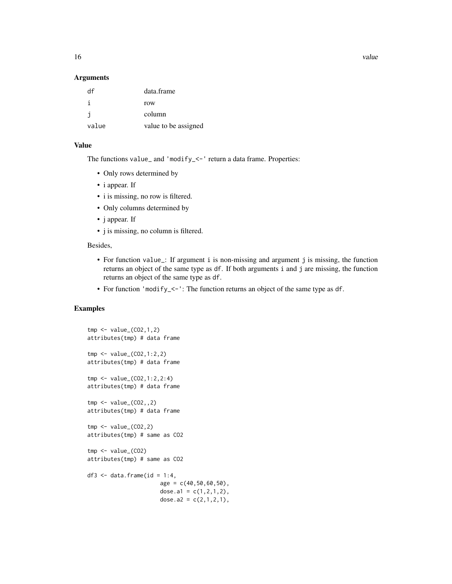16 value value value value value value value value value value value value value value value value value value

#### Arguments

| df    | data.frame           |
|-------|----------------------|
|       | row                  |
| j.    | column               |
| value | value to be assigned |

# Value

The functions value\_ and 'modify\_<-' return a data frame. Properties:

- Only rows determined by
- i appear. If
- i is missing, no row is filtered.
- Only columns determined by
- j appear. If
- j is missing, no column is filtered.

#### Besides,

- For function value\_: If argument i is non-missing and argument j is missing, the function returns an object of the same type as df. If both arguments i and j are missing, the function returns an object of the same type as df.
- For function 'modify\_<-': The function returns an object of the same type as df.

```
tmp < - value_{(CO2, 1, 2)}attributes(tmp) # data frame
tmp < - value_{0}(CO2, 1:2, 2)attributes(tmp) # data frame
tmp <- value_(CO2,1:2,2:4)
attributes(tmp) # data frame
tmp < - value_{0.7} (CO2, .2)attributes(tmp) # data frame
tmp < - value_{0.2} (02, 2)attributes(tmp) # same as CO2
tmp < - value_{(CO2)}attributes(tmp) # same as CO2
df3 \leq data.frame(id = 1:4,
                       age = c(40, 50, 60, 50),
                       dose.a1 = c(1, 2, 1, 2),
                       dose.a2 = c(2,1,2,1),
```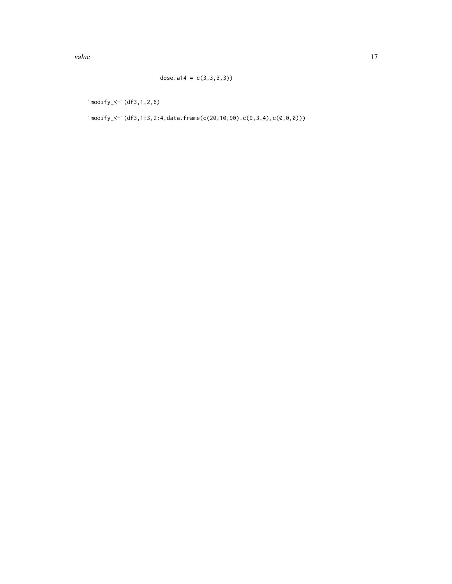'modify\_<-'(df3,1,2,6)

'modify\_<-'(df3,1:3,2:4,data.frame(c(20,10,90),c(9,3,4),c(0,0,0)))